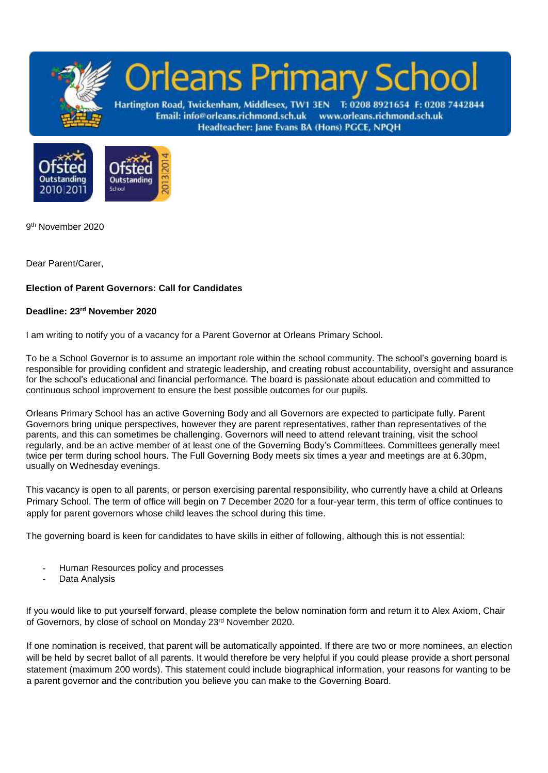



9 th November 2020

Dear Parent/Carer,

## **Election of Parent Governors: Call for Candidates**

## **Deadline: 23rd November 2020**

I am writing to notify you of a vacancy for a Parent Governor at Orleans Primary School.

To be a School Governor is to assume an important role within the school community. The school's governing board is responsible for providing confident and strategic leadership, and creating robust accountability, oversight and assurance for the school's educational and financial performance. The board is passionate about education and committed to continuous school improvement to ensure the best possible outcomes for our pupils.

Orleans Primary School has an active Governing Body and all Governors are expected to participate fully. Parent Governors bring unique perspectives, however they are parent representatives, rather than representatives of the parents, and this can sometimes be challenging. Governors will need to attend relevant training, visit the school regularly, and be an active member of at least one of the Governing Body's Committees. Committees generally meet twice per term during school hours. The Full Governing Body meets six times a year and meetings are at 6.30pm, usually on Wednesday evenings.

This vacancy is open to all parents, or person exercising parental responsibility, who currently have a child at Orleans Primary School. The term of office will begin on 7 December 2020 for a four-year term, this term of office continues to apply for parent governors whose child leaves the school during this time.

The governing board is keen for candidates to have skills in either of following, although this is not essential:

- Human Resources policy and processes
- Data Analysis

If you would like to put yourself forward, please complete the below nomination form and return it to Alex Axiom, Chair of Governors, by close of school on Monday 23rd November 2020.

If one nomination is received, that parent will be automatically appointed. If there are two or more nominees, an election will be held by secret ballot of all parents. It would therefore be very helpful if you could please provide a short personal statement (maximum 200 words). This statement could include biographical information, your reasons for wanting to be a parent governor and the contribution you believe you can make to the Governing Board.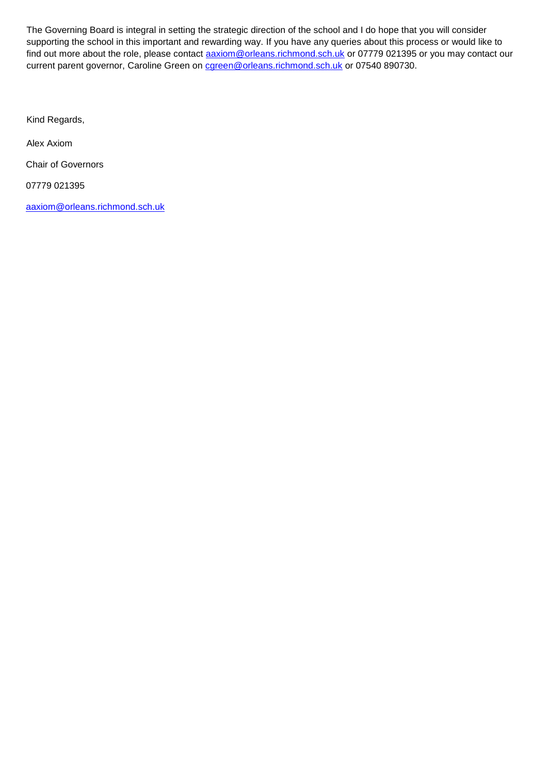The Governing Board is integral in setting the strategic direction of the school and I do hope that you will consider supporting the school in this important and rewarding way. If you have any queries about this process or would like to find out more about the role, please contact **[aaxiom@orleans.richmond.sch.uk](mailto:aaxiom@orleans.richmond.sch.uk)** or 07779 021395 or you may contact our current parent governor, Caroline Green on careen@orleans.richmond.sch.uk or 07540 890730.

Kind Regards,

Alex Axiom

Chair of Governors

07779 021395

[aaxiom@orleans.richmond.sch.uk](mailto:aaxiom@orleans.richmond.sch.uk)